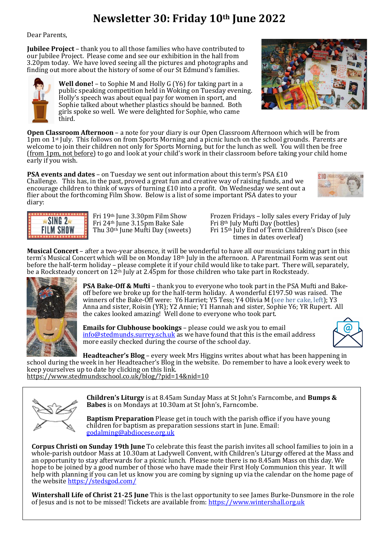## **Newsletter 30: Friday 10th June 2022**

Dear Parents,

**Jubilee Project** – thank you to all those families who have contributed to our Jubilee Project. Please come and see our exhibition in the hall from 3.20pm today. We have loved seeing all the pictures and photographs and finding out more about the history of some of our St Edmund's families.

> **Well done!** – to Sophie M and Holly G (Y6) for taking part in a public speaking competition held in Woking on Tuesday evening. Holly's speech was about equal pay for women in sport, and Sophie talked about whether plastics should be banned. Both girls spoke so well. We were delighted for Sophie, who came third.

**Open Classroom Afternoon** – a note for your diary is our Open Classroom Afternoon which will be from 1pm on 1<sup>st</sup> July. This follows on from Sports Morning and a picnic lunch on the school grounds. Parents are welcome to join their children not only for Sports Morning, but for the lunch as well. You will then be free (from 1pm, not before) to go and look at your child's work in their classroom before taking your child home early if you wish.

**PSA events and dates** – on Tuesday we sent out information about this term's PSA £10 Challenge. This has, in the past, proved a great fun and creative way of raising funds, and we encourage children to think of ways of turning £10 into a profit. On Wednesday we sent out a flier about the forthcoming Film Show. Below is a list of some important PSA dates to your diary:

Fri 24<sup>th</sup> June 3.15pm Bake Sale<br>Thu 30<sup>th</sup> June Mufti Day (sweets)

Fri 19th June 3.30pm Film Show Frozen Fridays – lolly sales every Friday of July Fri 24th June 3.15pm Bake Sale Fri 8th July Mufti Day (bottles) Fri 15<sup>th</sup> July End of Term Children's Disco (see times in dates overleaf)

**Musical Concert** – after a two-year absence, it will be wonderful to have all our musicians taking part in this term's Musical Concert which will be on Monday 18th July in the afternoon. A Parentmail Form was sent out before the half-term holiday – please complete it if your child would like to take part. There will, separately, be a Rocksteady concert on 12th July at 2.45pm for those children who take part in Rocksteady.



SING<sub>2</sub> **FILM SHOW** 

> **PSA Bake-Off & Mufti** – thank you to everyone who took part in the PSA Mufti and Bakeoff before we broke up for the half-term holiday. A wonderful £197.50 was raised. The winners of the Bake-Off were: Y6 Harriet; Y5 Tess; Y4 Olivia M (see her cake, left); Y3 Anna and sister, Roisin (YR); Y2 Annie; Y1 Hannah and sister, Sophie Y6; YR Rupert. All the cakes looked amazing! Well done to everyone who took part.

**Emails for Clubhouse bookings** – please could we ask you to email [info@stedmunds.surrey.sch.uk](mailto:info@stedmunds.surrey.sch.uk) as we have found that this is the email address more easily checked during the course of the school day.



**Headteacher's Blog** – every week Mrs Higgins writes about what has been happening in school during the week in her Headteacher's Blog in the website. Do remember to have a look every week to keep yourselves up to date by clicking on this link. <https://www.stedmundsschool.co.uk/blog/?pid=14&nid=10>



**Children's Liturgy** is at 8.45am Sunday Mass at St John's Farncombe, and **Bumps & Babes** is on Mondays at 10.30am at St John's, Farncombe.

**Baptism Preparation** Please get in touch with the parish office if you have young children for baptism as preparation sessions start in June. Email: [godalming@abdiocese.org.uk](mailto:godalming@abdiocese.org.uk)

**Corpus Christi on Sunday 19th June** To celebrate this feast the parish invites all school families to join in a whole-parish outdoor Mass at 10.30am at Ladywell Convent, with Children's Liturgy offered at the Mass and an opportunity to stay afterwards for a picnic lunch. Please note there is no 8.45am Mass on this day. We hope to be joined by a good number of those who have made their First Holy Communion this year. It will help with planning if you can let us know you are coming by signing up via the calendar on the home page of the website <https://stedsgod.com/>

**Wintershall Life of Christ 21-25 June** This is the last opportunity to see James Burke-Dunsmore in the role of Jesus and is not to be missed! Tickets are available from: [https://www.wintershall.org.uk](https://www.wintershall.org.uk/)